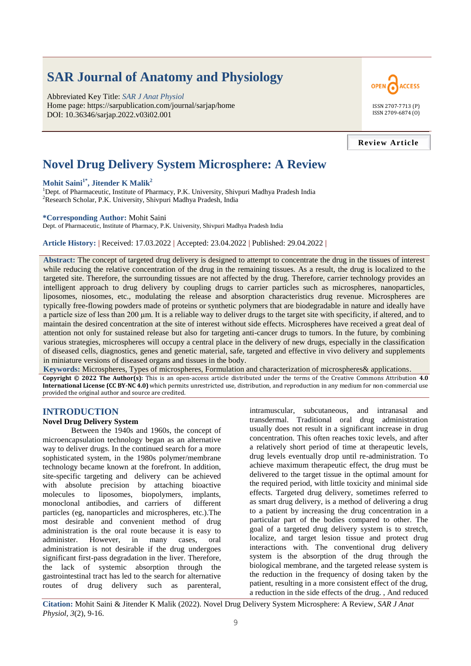# **SAR Journal of Anatomy and Physiology**

Abbreviated Key Title: *SAR J Anat Physiol* Home page: https://sarpublication.com/journal/sarjap/home DOI: 10.36346/sarjap.2022.v03i02.001



## **Review Article**

## **Novel Drug Delivery System Microsphere: A Review**

## **Mohit Saini1\*, Jitender K Malik<sup>2</sup>**

<sup>1</sup>Dept. of Pharmaceutic, Institute of Pharmacy, P.K. University, Shivpuri Madhya Pradesh India <sup>2</sup>Research Scholar, P.K. University, Shivpuri Madhya Pradesh, India

#### **\*Corresponding Author:** Mohit Saini

Dept. of Pharmaceutic, Institute of Pharmacy, P.K. University, Shivpuri Madhya Pradesh India

**Article History: |** Received: 17.03.2022 **|** Accepted: 23.04.2022 **|** Published: 29.04.2022 **|**

**Abstract:** The concept of targeted drug delivery is designed to attempt to concentrate the drug in the tissues of interest while reducing the relative concentration of the drug in the remaining tissues. As a result, the drug is localized to the targeted site. Therefore, the surrounding tissues are not affected by the drug. Therefore, carrier technology provides an intelligent approach to drug delivery by coupling drugs to carrier particles such as microspheres, nanoparticles, liposomes, niosomes, etc., modulating the release and absorption characteristics drug revenue. Microspheres are typically free-flowing powders made of proteins or synthetic polymers that are biodegradable in nature and ideally have a particle size of less than 200 μm. It is a reliable way to deliver drugs to the target site with specificity, if altered, and to maintain the desired concentration at the site of interest without side effects. Microspheres have received a great deal of attention not only for sustained release but also for targeting anti-cancer drugs to tumors. In the future, by combining various strategies, microspheres will occupy a central place in the delivery of new drugs, especially in the classification of diseased cells, diagnostics, genes and genetic material, safe, targeted and effective in vivo delivery and supplements in miniature versions of diseased organs and tissues in the body.

**Keywords:** Microspheres, Types of microspheres, Formulation and characterization of microspheres& applications. **Copyright © 2022 The Author(s):** This is an open-access article distributed under the terms of the Creative Commons Attribution **4.0 International License (CC BY-NC 4.0)** which permits unrestricted use, distribution, and reproduction in any medium for non-commercial use provided the original author and source are credited.

## **INTRODUCTION**

## **Novel Drug Delivery System**

Between the 1940s and 1960s, the concept of microencapsulation technology began as an alternative way to deliver drugs. In the continued search for a more sophisticated system, in the 1980s polymer/membrane technology became known at the forefront. In addition, site-specific targeting and delivery can be achieved with absolute precision by attaching bioactive molecules to liposomes, biopolymers, implants, monoclonal antibodies, and carriers of different particles (eg, nanoparticles and microspheres, etc.).The most desirable and convenient method of drug administration is the oral route because it is easy to administer. However, in many cases, oral administration is not desirable if the drug undergoes significant first-pass degradation in the liver. Therefore, the lack of systemic absorption through the gastrointestinal tract has led to the search for alternative routes of drug delivery such as parenteral, intramuscular, subcutaneous, and intranasal and transdermal. Traditional oral drug administration usually does not result in a significant increase in drug concentration. This often reaches toxic levels, and after a relatively short period of time at therapeutic levels, drug levels eventually drop until re-administration. To achieve maximum therapeutic effect, the drug must be delivered to the target tissue in the optimal amount for the required period, with little toxicity and minimal side effects. Targeted drug delivery, sometimes referred to as smart drug delivery, is a method of delivering a drug to a patient by increasing the drug concentration in a particular part of the bodies compared to other. The goal of a targeted drug delivery system is to stretch, localize, and target lesion tissue and protect drug interactions with. The conventional drug delivery system is the absorption of the drug through the biological membrane, and the targeted release system is the reduction in the frequency of dosing taken by the patient, resulting in a more consistent effect of the drug, a reduction in the side effects of the drug. , And reduced

**Citation:** Mohit Saini & Jitender K Malik (2022). Novel Drug Delivery System Microsphere: A Review, *SAR J Anat Physiol*, *3*(2), 9-16.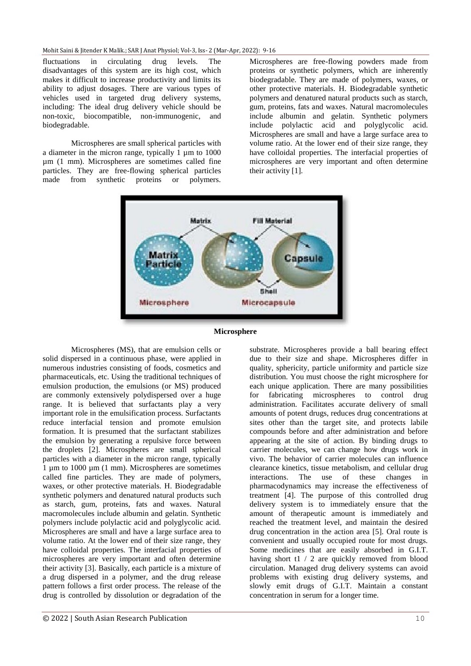fluctuations in circulating drug levels. The disadvantages of this system are its high cost, which makes it difficult to increase productivity and limits its ability to adjust dosages. There are various types of vehicles used in targeted drug delivery systems, including: The ideal drug delivery vehicle should be non-toxic, biocompatible, non-immunogenic, and biodegradable.

Microspheres are small spherical particles with a diameter in the micron range, typically  $\overline{1}$  µm to 1000 µm (1 mm). Microspheres are sometimes called fine particles. They are free-flowing spherical particles made from synthetic proteins or polymers.

Microspheres are free-flowing powders made from proteins or synthetic polymers, which are inherently biodegradable. They are made of polymers, waxes, or other protective materials. H. Biodegradable synthetic polymers and denatured natural products such as starch, gum, proteins, fats and waxes. Natural macromolecules include albumin and gelatin. Synthetic polymers include polylactic acid and polyglycolic acid. Microspheres are small and have a large surface area to volume ratio. At the lower end of their size range, they have colloidal properties. The interfacial properties of microspheres are very important and often determine their activity [1].





Microspheres (MS), that are emulsion cells or solid dispersed in a continuous phase, were applied in numerous industries consisting of foods, cosmetics and pharmaceuticals, etc. Using the traditional techniques of emulsion production, the emulsions (or MS) produced are commonly extensively polydispersed over a huge range. It is believed that surfactants play a very important role in the emulsification process. Surfactants reduce interfacial tension and promote emulsion formation. It is presumed that the surfactant stabilizes the emulsion by generating a repulsive force between the droplets [2]. Microspheres are small spherical particles with a diameter in the micron range, typically  $1 \mu m$  to 1000  $\mu m$  (1 mm). Microspheres are sometimes called fine particles. They are made of polymers, waxes, or other protective materials. H. Biodegradable synthetic polymers and denatured natural products such as starch, gum, proteins, fats and waxes. Natural macromolecules include albumin and gelatin. Synthetic polymers include polylactic acid and polyglycolic acid. Microspheres are small and have a large surface area to volume ratio. At the lower end of their size range, they have colloidal properties. The interfacial properties of microspheres are very important and often determine their activity [3]. Basically, each particle is a mixture of a drug dispersed in a polymer, and the drug release pattern follows a first order process. The release of the drug is controlled by dissolution or degradation of the

quality, sphericity, particle uniformity and particle size distribution. You must choose the right microsphere for each unique application. There are many possibilities for fabricating microspheres to control drug administration. Facilitates accurate delivery of small amounts of potent drugs, reduces drug concentrations at sites other than the target site, and protects labile compounds before and after administration and before appearing at the site of action. By binding drugs to carrier molecules, we can change how drugs work in vivo. The behavior of carrier molecules can influence clearance kinetics, tissue metabolism, and cellular drug interactions. The use of these changes in pharmacodynamics may increase the effectiveness of treatment [4]. The purpose of this controlled drug delivery system is to immediately ensure that the amount of therapeutic amount is immediately and reached the treatment level, and maintain the desired drug concentration in the action area [5]. Oral route is convenient and usually occupied route for most drugs. Some medicines that are easily absorbed in G.I.T. having short t1 / 2 are quickly removed from blood circulation. Managed drug delivery systems can avoid problems with existing drug delivery systems, and slowly emit drugs of G.I.T. Maintain a constant concentration in serum for a longer time.

substrate. Microspheres provide a ball bearing effect due to their size and shape. Microspheres differ in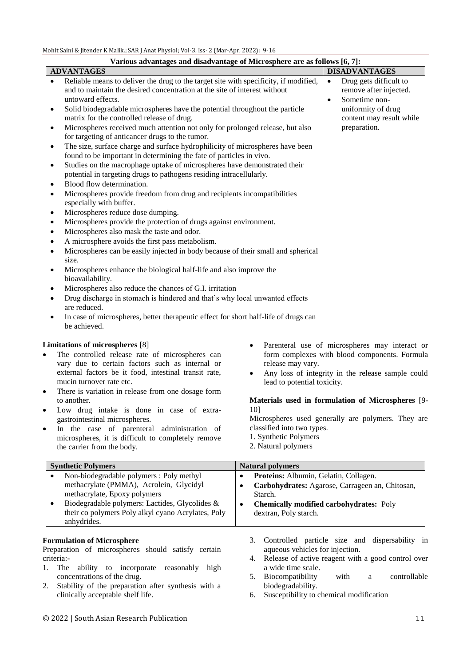|                                                                                                                     | Various advantages and disadvantage of Microsphere are as follows [6, 7]:                                                                                                                                                                                                                                                                                                                                                                                                                                                                                                                                                                                                                                                                                                                                                                                                 |                                                                                                                                                               |  |  |
|---------------------------------------------------------------------------------------------------------------------|---------------------------------------------------------------------------------------------------------------------------------------------------------------------------------------------------------------------------------------------------------------------------------------------------------------------------------------------------------------------------------------------------------------------------------------------------------------------------------------------------------------------------------------------------------------------------------------------------------------------------------------------------------------------------------------------------------------------------------------------------------------------------------------------------------------------------------------------------------------------------|---------------------------------------------------------------------------------------------------------------------------------------------------------------|--|--|
| <b>ADVANTAGES</b>                                                                                                   |                                                                                                                                                                                                                                                                                                                                                                                                                                                                                                                                                                                                                                                                                                                                                                                                                                                                           | <b>DISADVANTAGES</b>                                                                                                                                          |  |  |
| $\bullet$<br>$\bullet$<br>$\bullet$<br>$\bullet$                                                                    | Reliable means to deliver the drug to the target site with specificity, if modified,<br>and to maintain the desired concentration at the site of interest without<br>untoward effects.<br>Solid biodegradable microspheres have the potential throughout the particle<br>matrix for the controlled release of drug.<br>Microspheres received much attention not only for prolonged release, but also<br>for targeting of anticancer drugs to the tumor.<br>The size, surface charge and surface hydrophilicity of microspheres have been<br>found to be important in determining the fate of particles in vivo.<br>Studies on the macrophage uptake of microspheres have demonstrated their                                                                                                                                                                               | Drug gets difficult to<br>$\bullet$<br>remove after injected.<br>Sometime non-<br>$\bullet$<br>uniformity of drug<br>content may result while<br>preparation. |  |  |
| $\bullet$<br>٠<br>٠<br>$\bullet$<br>$\bullet$<br>$\bullet$<br>$\bullet$<br>$\bullet$<br>$\bullet$<br>$\bullet$<br>٠ | potential in targeting drugs to pathogens residing intracellularly.<br>Blood flow determination.<br>Microspheres provide freedom from drug and recipients incompatibilities<br>especially with buffer.<br>Microspheres reduce dose dumping.<br>Microspheres provide the protection of drugs against environment.<br>Microspheres also mask the taste and odor.<br>A microsphere avoids the first pass metabolism.<br>Microspheres can be easily injected in body because of their small and spherical<br>size.<br>Microspheres enhance the biological half-life and also improve the<br>bioavailability.<br>Microspheres also reduce the chances of G.I. irritation<br>Drug discharge in stomach is hindered and that's why local unwanted effects<br>are reduced.<br>In case of microspheres, better therapeutic effect for short half-life of drugs can<br>be achieved. |                                                                                                                                                               |  |  |

## **Limitations of microspheres** [8]

- The controlled release rate of microspheres can vary due to certain factors such as internal or external factors be it food, intestinal transit rate, mucin turnover rate etc.
- There is variation in release from one dosage form to another.
- Low drug intake is done in case of extragastrointestinal microspheres.
- In the case of parenteral administration of microspheres, it is difficult to completely remove the carrier from the body.
- Parenteral use of microspheres may interact or form complexes with blood components. Formula release may vary.
- Any loss of integrity in the release sample could lead to potential toxicity.

## **Materials used in formulation of Microspheres** [9- 10]

Microspheres used generally are polymers. They are classified into two types.

- 1. Synthetic Polymers
- 2. Natural polymers

| <b>Synthetic Polymers</b>                                                                                           | <b>Natural polymers</b>                                                                             |  |
|---------------------------------------------------------------------------------------------------------------------|-----------------------------------------------------------------------------------------------------|--|
| Non-biodegradable polymers : Poly methyl<br>methacrylate (PMMA), Acrolein, Glycidyl<br>methacrylate, Epoxy polymers | Proteins: Albumin, Gelatin, Collagen.<br>Carbohydrates: Agarose, Carrageen an, Chitosan,<br>Starch. |  |
| Biodegradable polymers: Lactides, Glycolides &<br>their co polymers Poly alkyl cyano Acrylates, Poly<br>anhydrides. | <b>Chemically modified carbohydrates: Poly</b><br>dextran, Poly starch.                             |  |

## **Formulation of Microsphere**

Preparation of microspheres should satisfy certain criteria:-

- 1. The ability to incorporate reasonably high concentrations of the drug.
- 2. Stability of the preparation after synthesis with a clinically acceptable shelf life.
- 3. Controlled particle size and dispersability in aqueous vehicles for injection.
- 4. Release of active reagent with a good control over a wide time scale.
- 5. Biocompatibility with a controllable biodegradability.
- 6. Susceptibility to chemical modification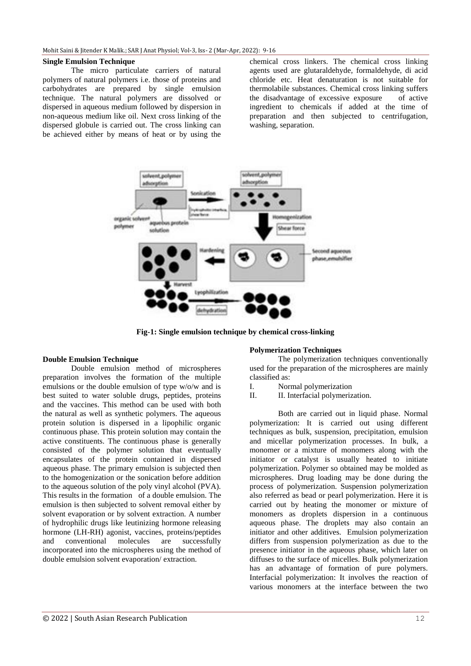#### **Single Emulsion Technique**

The micro particulate carriers of natural polymers of natural polymers i.e. those of proteins and carbohydrates are prepared by single emulsion technique. The natural polymers are dissolved or dispersed in aqueous medium followed by dispersion in non-aqueous medium like oil. Next cross linking of the dispersed globule is carried out. The cross linking can be achieved either by means of heat or by using the

chemical cross linkers. The chemical cross linking agents used are glutaraldehyde, formaldehyde, di acid chloride etc. Heat denaturation is not suitable for thermolabile substances. Chemical cross linking suffers the disadvantage of excessive exposure of active ingredient to chemicals if added at the time of preparation and then subjected to centrifugation, washing, separation.



**Fig-1: Single emulsion technique by chemical cross-linking**

#### **Double Emulsion Technique**

Double emulsion method of microspheres preparation involves the formation of the multiple emulsions or the double emulsion of type w/o/w and is best suited to water soluble drugs, peptides, proteins and the vaccines. This method can be used with both the natural as well as synthetic polymers. The aqueous protein solution is dispersed in a lipophilic organic continuous phase. This protein solution may contain the active constituents. The continuous phase is generally consisted of the polymer solution that eventually encapsulates of the protein contained in dispersed aqueous phase. The primary emulsion is subjected then to the homogenization or the sonication before addition to the aqueous solution of the poly vinyl alcohol (PVA). This results in the formation of a double emulsion. The emulsion is then subjected to solvent removal either by solvent evaporation or by solvent extraction. A number of hydrophilic drugs like leutinizing hormone releasing hormone (LH-RH) agonist, vaccines, proteins/peptides and conventional molecules are successfully incorporated into the microspheres using the method of double emulsion solvent evaporation/ extraction.

#### **Polymerization Techniques**

The polymerization techniques conventionally used for the preparation of the microspheres are mainly classified as:

- I. Normal polymerization
- II. II. Interfacial polymerization.

Both are carried out in liquid phase. Normal polymerization: It is carried out using different techniques as bulk, suspension, precipitation, emulsion and micellar polymerization processes. In bulk, a monomer or a mixture of monomers along with the initiator or catalyst is usually heated to initiate polymerization. Polymer so obtained may be molded as microspheres. Drug loading may be done during the process of polymerization. Suspension polymerization also referred as bead or pearl polymerization. Here it is carried out by heating the monomer or mixture of monomers as droplets dispersion in a continuous aqueous phase. The droplets may also contain an initiator and other additives. Emulsion polymerization differs from suspension polymerization as due to the presence initiator in the aqueous phase, which later on diffuses to the surface of micelles. Bulk polymerization has an advantage of formation of pure polymers. Interfacial polymerization: It involves the reaction of various monomers at the interface between the two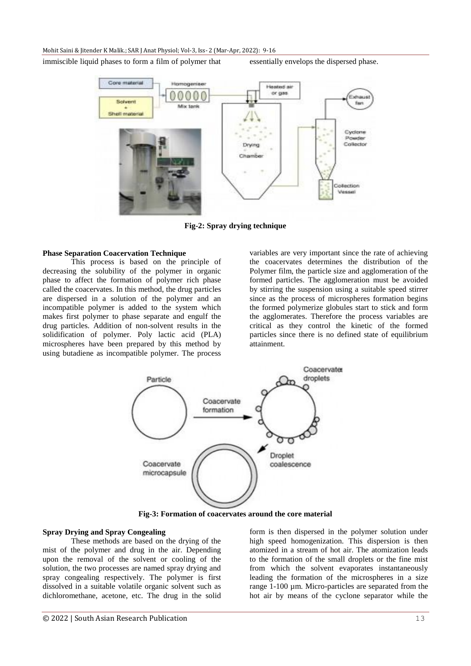immiscible liquid phases to form a film of polymer that essentially envelops the dispersed phase.



**Fig-2: Spray drying technique**

#### **Phase Separation Coacervation Technique**

This process is based on the principle of decreasing the solubility of the polymer in organic phase to affect the formation of polymer rich phase called the coacervates. In this method, the drug particles are dispersed in a solution of the polymer and an incompatible polymer is added to the system which makes first polymer to phase separate and engulf the drug particles. Addition of non-solvent results in the solidification of polymer. Poly lactic acid (PLA) microspheres have been prepared by this method by using butadiene as incompatible polymer. The process

variables are very important since the rate of achieving the coacervates determines the distribution of the Polymer film, the particle size and agglomeration of the formed particles. The agglomeration must be avoided by stirring the suspension using a suitable speed stirrer since as the process of microspheres formation begins the formed polymerize globules start to stick and form the agglomerates. Therefore the process variables are critical as they control the kinetic of the formed particles since there is no defined state of equilibrium attainment.



**Fig-3: Formation of coacervates around the core material**

## **Spray Drying and Spray Congealing**

These methods are based on the drying of the mist of the polymer and drug in the air. Depending upon the removal of the solvent or cooling of the solution, the two processes are named spray drying and spray congealing respectively. The polymer is first dissolved in a suitable volatile organic solvent such as dichloromethane, acetone, etc. The drug in the solid

form is then dispersed in the polymer solution under high speed homogenization. This dispersion is then atomized in a stream of hot air. The atomization leads to the formation of the small droplets or the fine mist from which the solvent evaporates instantaneously leading the formation of the microspheres in a size range 1-100 µm. Micro-particles are separated from the hot air by means of the cyclone separator while the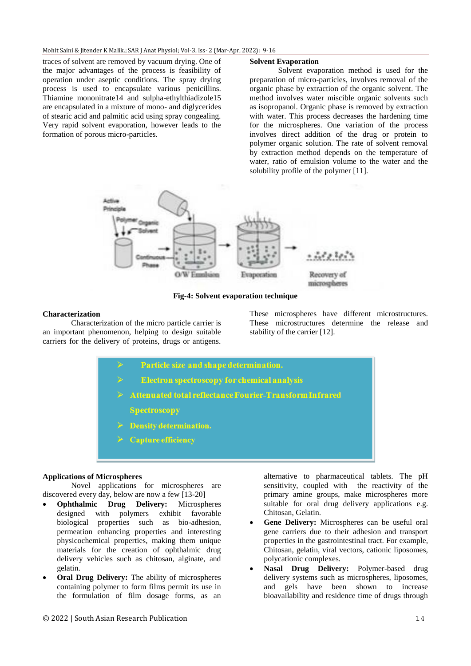traces of solvent are removed by vacuum drying. One of the major advantages of the process is feasibility of operation under aseptic conditions. The spray drying process is used to encapsulate various penicillins. Thiamine mononitrate14 and sulpha-ethylthiadizole15 are encapsulated in a mixture of mono- and diglycerides of stearic acid and palmitic acid using spray congealing. Very rapid solvent evaporation, however leads to the formation of porous micro-particles.

#### **Solvent Evaporation**

Solvent evaporation method is used for the preparation of micro-particles, involves removal of the organic phase by extraction of the organic solvent. The method involves water miscible organic solvents such as isopropanol. Organic phase is removed by extraction with water. This process decreases the hardening time for the microspheres. One variation of the process involves direct addition of the drug or protein to polymer organic solution. The rate of solvent removal by extraction method depends on the temperature of water, ratio of emulsion volume to the water and the solubility profile of the polymer [11].



**Fig-4: Solvent evaporation technique**

#### **Characterization**

Characterization of the micro particle carrier is an important phenomenon, helping to design suitable carriers for the delivery of proteins, drugs or antigens.

These microspheres have different microstructures. These microstructures determine the release and stability of the carrier [12].

| Particle size and shape determination.                  |  |
|---------------------------------------------------------|--|
| <b>Electron spectroscopy for chemical analysis</b>      |  |
| Attenuated total reflectance Fourier-Transform Infrared |  |
| Spectroscopy                                            |  |
| $\triangleright$ Density determination.                 |  |
| <b>Capture efficiency</b>                               |  |
|                                                         |  |

## **Applications of Microspheres**

Novel applications for microspheres are discovered every day, below are now a few [13-20]

- **Ophthalmic Drug Delivery:** Microspheres designed with polymers exhibit favorable biological properties such as bio-adhesion, permeation enhancing properties and interesting physicochemical properties, making them unique materials for the creation of ophthalmic drug delivery vehicles such as chitosan, alginate, and gelatin.
- **Oral Drug Delivery:** The ability of microspheres containing polymer to form films permit its use in the formulation of film dosage forms, as an

alternative to pharmaceutical tablets. The pH sensitivity, coupled with the reactivity of the primary amine groups, make microspheres more suitable for oral drug delivery applications e.g. Chitosan, Gelatin.

- **Gene Delivery:** Microspheres can be useful oral gene carriers due to their adhesion and transport properties in the gastrointestinal tract. For example, Chitosan, gelatin, viral vectors, cationic liposomes, polycationic complexes.
- **Nasal Drug Delivery:** Polymer-based drug delivery systems such as microspheres, liposomes, and gels have been shown to increase bioavailability and residence time of drugs through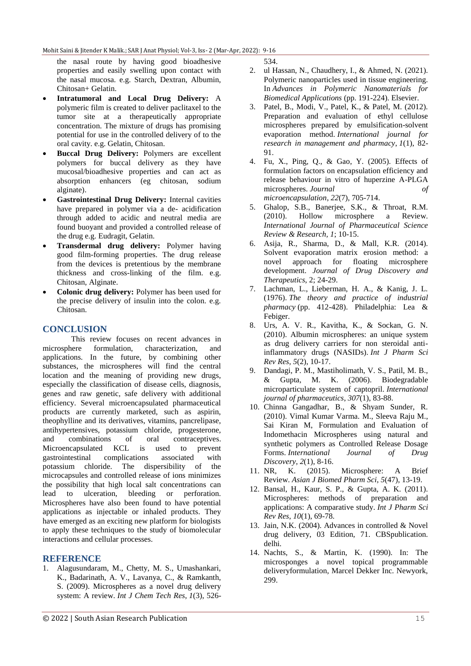the nasal route by having good bioadhesive properties and easily swelling upon contact with the nasal mucosa. e.g. Starch, Dextran, Albumin, Chitosan+ Gelatin.

- **Intratumoral and Local Drug Delivery:** A polymeric film is created to deliver paclitaxel to the tumor site at a therapeutically appropriate concentration. The mixture of drugs has promising potential for use in the controlled delivery of to the oral cavity. e.g. Gelatin, Chitosan.
- **Buccal Drug Delivery:** Polymers are excellent polymers for buccal delivery as they have mucosal/bioadhesive properties and can act as absorption enhancers (eg chitosan, sodium alginate).
- **Gastrointestinal Drug Delivery:** Internal cavities have prepared in polymer via a de- acidification through added to acidic and neutral media are found buoyant and provided a controlled release of the drug e.g. Eudragit, Gelatin.
- **Transdermal drug delivery:** Polymer having good film-forming properties. The drug release from the devices is pretentious by the membrane thickness and cross-linking of the film. e.g. Chitosan, Alginate.
- **Colonic drug delivery:** Polymer has been used for the precise delivery of insulin into the colon. e.g. Chitosan.

## **CONCLUSION**

This review focuses on recent advances in microsphere formulation, characterization, and applications. In the future, by combining other substances, the microspheres will find the central location and the meaning of providing new drugs, especially the classification of disease cells, diagnosis, genes and raw genetic, safe delivery with additional efficiency. Several microencapsulated pharmaceutical products are currently marketed, such as aspirin, theophylline and its derivatives, vitamins, pancrelipase, antihypertensives, potassium chloride, progesterone, and combinations of oral contraceptives. Microencapsulated KCL is used to prevent gastrointestinal complications associated with potassium chloride. The dispersibility of the microcapsules and controlled release of ions minimizes the possibility that high local salt concentrations can lead to ulceration, bleeding or perforation. Microspheres have also been found to have potential applications as injectable or inhaled products. They have emerged as an exciting new platform for biologists to apply these techniques to the study of biomolecular interactions and cellular processes.

## **REFERENCE**

1. Alagusundaram, M., Chetty, M. S., Umashankari, K., Badarinath, A. V., Lavanya, C., & Ramkanth, S. (2009). Microspheres as a novel drug delivery system: A review. *Int J Chem Tech Res*, *1*(3), 526534.

- 2. ul Hassan, N., Chaudhery, I., & Ahmed, N. (2021). Polymeric nanoparticles used in tissue engineering. In *Advances in Polymeric Nanomaterials for Biomedical Applications* (pp. 191-224). Elsevier.
- 3. Patel, B., Modi, V., Patel, K., & Patel, M. (2012). Preparation and evaluation of ethyl cellulose microspheres prepared by emulsification-solvent evaporation method. *International journal for research in management and pharmacy*, *1*(1), 82- 91.
- 4. Fu, X., Ping, Q., & Gao, Y. (2005). Effects of formulation factors on encapsulation efficiency and release behaviour in vitro of huperzine A-PLGA microspheres. *Journal of microencapsulation*, *22*(7), 705-714.
- 5. Ghalop, S.B., Banerjee, S.K., & Throat, R.M. (2010). Hollow microsphere a Review. *International Journal of Pharmaceutical Science Review & Research, 1*; 10-15.
- 6. Asija, R., Sharma, D., & Mall, K.R. (2014). Solvent evaporation matrix erosion method: a novel approach for floating microsphere development. *Journal of Drug Discovery and Therapeutics*, 2; 24-29.
- 7. Lachman, L., Lieberman, H. A., & Kanig, J. L. (1976). *The theory and practice of industrial pharmacy* (pp. 412-428). Philadelphia: Lea & Febiger.
- 8. Urs, A. V. R., Kavitha, K., & Sockan, G. N. (2010). Albumin microspheres: an unique system as drug delivery carriers for non steroidal antiinflammatory drugs (NASIDs). *Int J Pharm Sci Rev Res*, *5*(2), 10-17.
- 9. Dandagi, P. M., Mastiholimath, V. S., Patil, M. B., & Gupta, M. K. (2006). Biodegradable microparticulate system of captopril. *International journal of pharmaceutics*, *307*(1), 83-88.
- 10. Chinna Gangadhar, B., & Shyam Sunder, R. (2010). Vimal Kumar Varma. M., Sleeva Raju M., Sai Kiran M, Formulation and Evaluation of Indomethacin Microspheres using natural and synthetic polymers as Controlled Release Dosage Forms. *International Journal of Drug Discovery*, *2*(1), 8-16.
- 11. NR, K. (2015). Microsphere: A Brief Review. *Asian J Biomed Pharm Sci*, *5*(47), 13-19.
- 12. Bansal, H., Kaur, S. P., & Gupta, A. K. (2011). Microspheres: methods of preparation and applications: A comparative study. *Int J Pharm Sci Rev Res*, *10*(1), 69-78.
- 13. Jain, N.K. (2004). Advances in controlled & Novel drug delivery, 03 Edition, 71. CBSpublication. delhi.
- 14. Nachts, S., & Martin, K. (1990). In: The microsponges a novel topical programmable deliveryformulation, Marcel Dekker Inc. Newyork, 299.